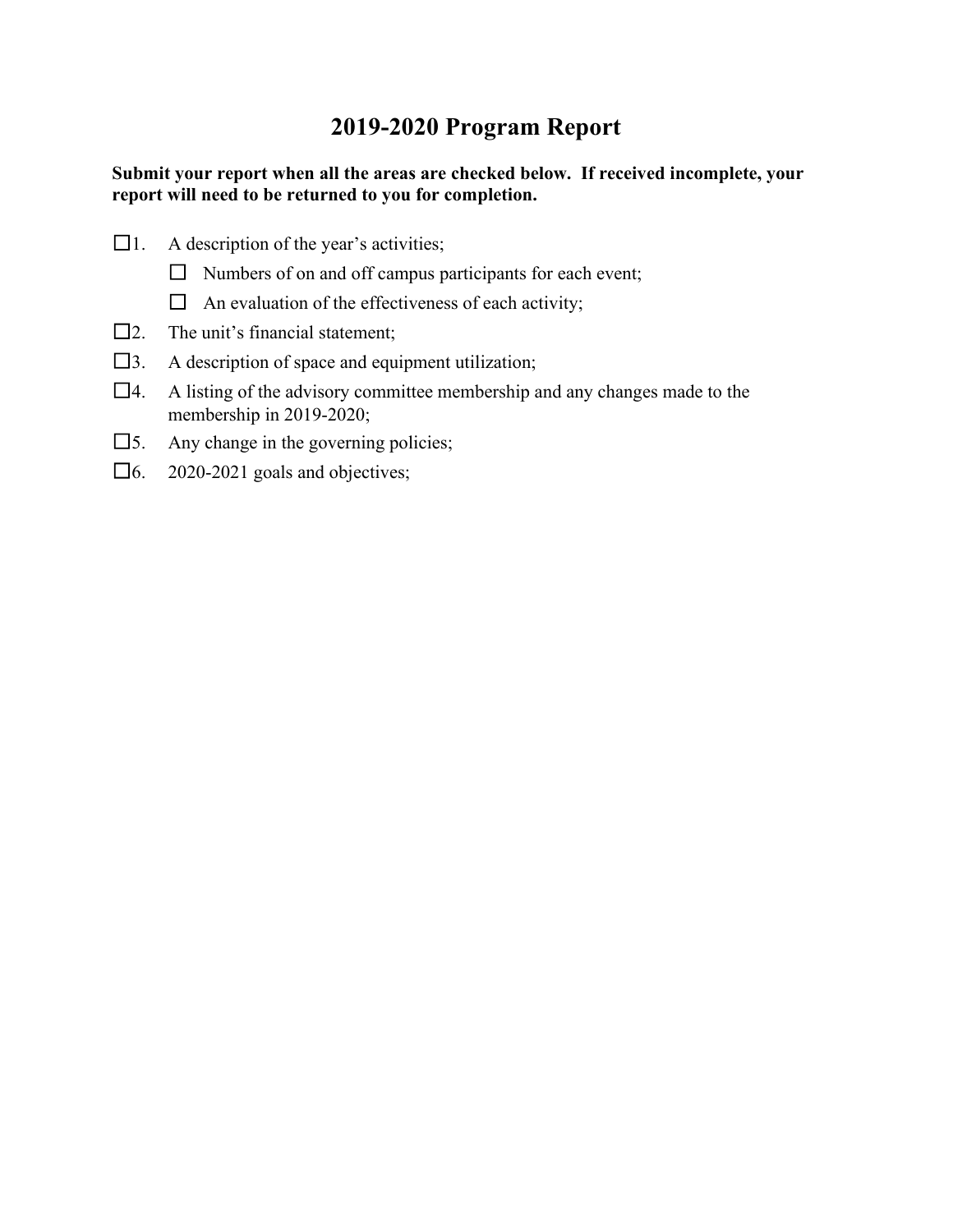# **2019-2020 Program Report**

# **Submit your report when all the areas are checked below. If received incomplete, your report will need to be returned to you for completion.**

- $\Box$ 1. A description of the year's activities;
	- $\Box$  Numbers of on and off campus participants for each event;
	- $\Box$  An evaluation of the effectiveness of each activity;
- $\square$ 2. The unit's financial statement:
- $\square$ 3. A description of space and equipment utilization;
- $\Box$ 4. A listing of the advisory committee membership and any changes made to the membership in 2019-2020;
- $\square$ 5. Any change in the governing policies;
- $\Box$ 6. 2020-2021 goals and objectives;